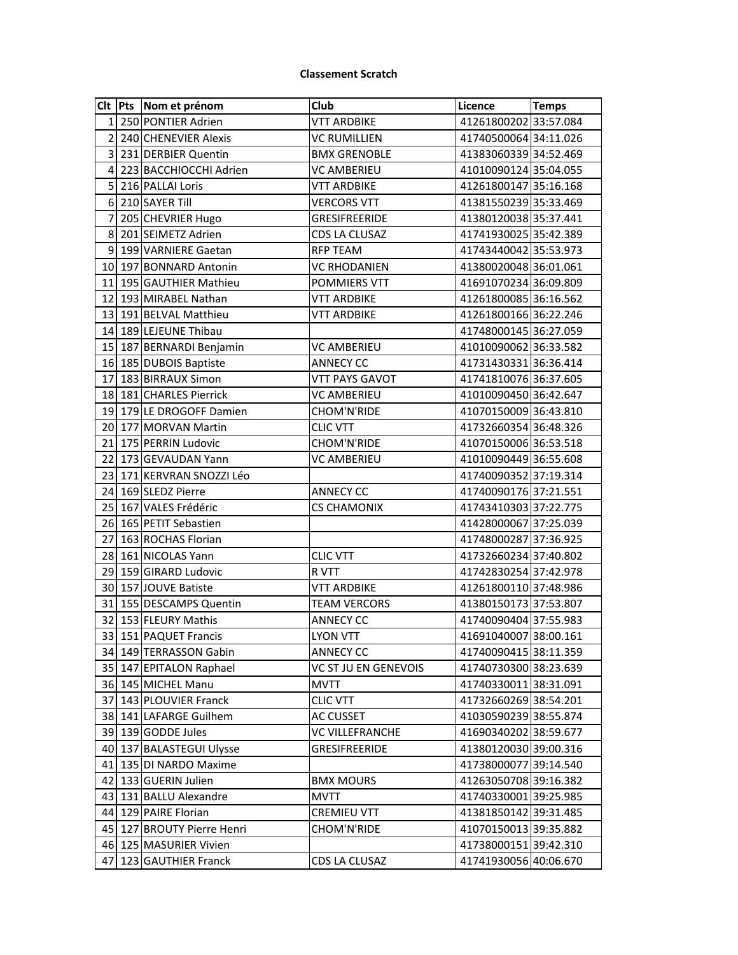## **Classement Scratch**

|                | CIt Pts Nom et prénom      | Club                   | Licence               | <b>Temps</b> |
|----------------|----------------------------|------------------------|-----------------------|--------------|
| $\mathbf{1}$   | 250 PONTIER Adrien         | <b>VTT ARDBIKE</b>     | 41261800202 33:57.084 |              |
| $\overline{2}$ | 240 CHENEVIER Alexis       | <b>VC RUMILLIEN</b>    | 41740500064 34:11.026 |              |
| 3              | 231 DERBIER Quentin        | <b>BMX GRENOBLE</b>    | 41383060339 34:52.469 |              |
| 4              | 223 BACCHIOCCHI Adrien     | VC AMBERIEU            | 41010090124 35:04.055 |              |
| 5              | 216 PALLAI Loris           | <b>VTT ARDBIKE</b>     | 41261800147 35:16.168 |              |
| 6              | 210 SAYER Till             | <b>VERCORS VTT</b>     | 41381550239 35:33.469 |              |
| $\overline{7}$ | 205 CHEVRIER Hugo          | <b>GRESIFREERIDE</b>   | 41380120038 35:37.441 |              |
| 8              | 201 SEIMETZ Adrien         | <b>CDS LA CLUSAZ</b>   | 41741930025 35:42.389 |              |
| 9              | 199 VARNIERE Gaetan        | <b>RFP TEAM</b>        | 41743440042 35:53.973 |              |
|                | 10 197 BONNARD Antonin     | <b>VC RHODANIEN</b>    | 41380020048 36:01.061 |              |
| 11             | 195 GAUTHIER Mathieu       | POMMIERS VTT           | 41691070234 36:09.809 |              |
| 12             | 193 MIRABEL Nathan         | <b>VTT ARDBIKE</b>     | 41261800085 36:16.562 |              |
| 13             | 191 BELVAL Matthieu        | VTT ARDBIKE            | 41261800166 36:22.246 |              |
|                | 14 189 LEJEUNE Thibau      |                        | 41748000145 36:27.059 |              |
| 15             | 187 BERNARDI Benjamin      | <b>VC AMBERIEU</b>     | 41010090062 36:33.582 |              |
| 16             | 185 DUBOIS Baptiste        | <b>ANNECY CC</b>       | 41731430331 36:36.414 |              |
| 17             | 183 BIRRAUX Simon          | <b>VTT PAYS GAVOT</b>  | 41741810076 36:37.605 |              |
|                | 18 181 CHARLES Pierrick    | <b>VC AMBERIEU</b>     | 41010090450 36:42.647 |              |
| 19             | 179 LE DROGOFF Damien      | CHOM'N'RIDE            | 41070150009 36:43.810 |              |
|                | 20 177 MORVAN Martin       | <b>CLIC VTT</b>        | 41732660354 36:48.326 |              |
| 21             | 175 PERRIN Ludovic         | CHOM'N'RIDE            | 41070150006 36:53.518 |              |
| 22             | 173 GEVAUDAN Yann          | VC AMBERIEU            | 41010090449 36:55.608 |              |
| 23             | 171 KERVRAN SNOZZI Léo     |                        | 41740090352 37:19.314 |              |
| 24             | 169 SLEDZ Pierre           | <b>ANNECY CC</b>       | 41740090176 37:21.551 |              |
| 25             | 167 VALES Frédéric         | CS CHAMONIX            | 41743410303 37:22.775 |              |
| 26             | 165 PETIT Sebastien        |                        | 41428000067 37:25.039 |              |
| 27             | 163 ROCHAS Florian         |                        | 41748000287 37:36.925 |              |
| 28             | 161 NICOLAS Yann           | <b>CLIC VTT</b>        | 41732660234 37:40.802 |              |
| 29             | 159 GIRARD Ludovic         | R VTT                  | 41742830254 37:42.978 |              |
| 30             | 157 JOUVE Batiste          | <b>VTT ARDBIKE</b>     | 41261800110 37:48.986 |              |
| 31             | 155 DESCAMPS Quentin       | <b>TEAM VERCORS</b>    | 41380150173 37:53.807 |              |
|                | 32 153 FLEURY Mathis       | <b>ANNECY CC</b>       | 41740090404 37:55.983 |              |
|                | 33 151 PAQUET Francis      | LYON VTT               | 41691040007 38:00.161 |              |
|                | 34 149 TERRASSON Gabin     | <b>ANNECY CC</b>       | 41740090415 38:11.359 |              |
|                | 35 147 EPITALON Raphael    | VC ST JU EN GENEVOIS   | 41740730300 38:23.639 |              |
|                | 36 145 MICHEL Manu         | <b>MVTT</b>            | 41740330011 38:31.091 |              |
| 37             | 143 PLOUVIER Franck        | <b>CLIC VTT</b>        | 41732660269 38:54.201 |              |
|                | 38 141 LAFARGE Guilhem     | <b>AC CUSSET</b>       | 41030590239 38:55.874 |              |
|                | 39 139 GODDE Jules         | <b>VC VILLEFRANCHE</b> | 41690340202 38:59.677 |              |
|                | 40 137 BALASTEGUI Ulysse   | GRESIFREERIDE          | 41380120030 39:00.316 |              |
|                | 41 135 DI NARDO Maxime     |                        | 41738000077 39:14.540 |              |
|                | 42 133 GUERIN Julien       | <b>BMX MOURS</b>       | 41263050708 39:16.382 |              |
|                | 43 131 BALLU Alexandre     | <b>MVTT</b>            | 41740330001 39:25.985 |              |
|                | 44 129 PAIRE Florian       | CREMIEU VTT            | 41381850142 39:31.485 |              |
|                | 45 127 BROUTY Pierre Henri | CHOM'N'RIDE            | 41070150013 39:35.882 |              |
|                | 46 125 MASURIER Vivien     |                        | 41738000151 39:42.310 |              |
| 47             | 123 GAUTHIER Franck        | CDS LA CLUSAZ          | 41741930056 40:06.670 |              |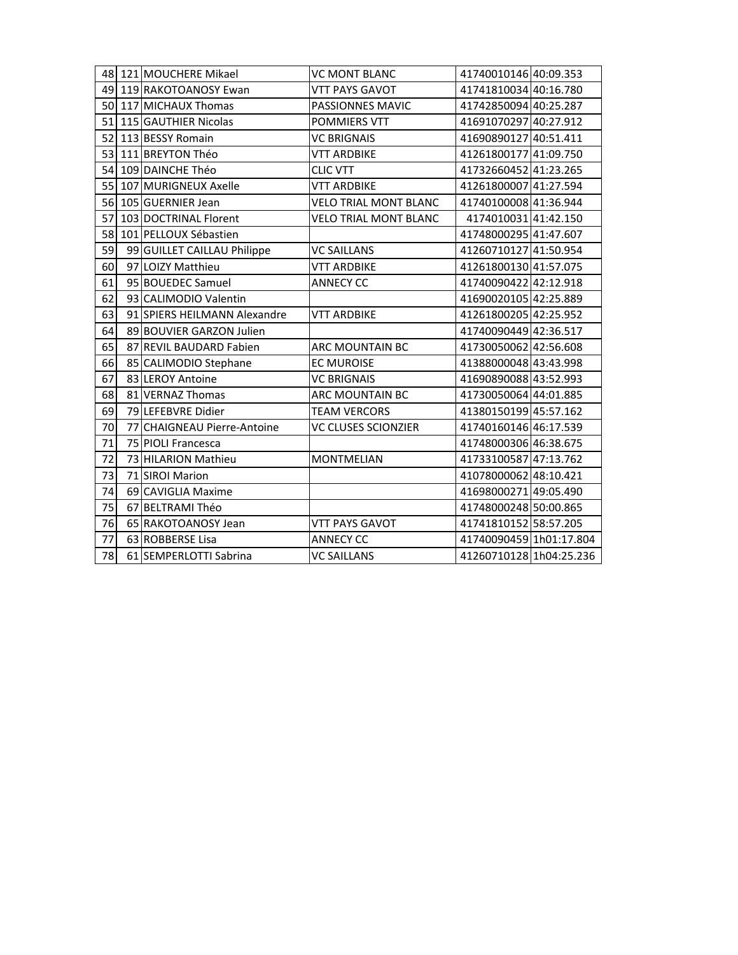|    | 48 121 MOUCHERE Mikael       | <b>VC MONT BLANC</b>         | 41740010146 40:09.353   |  |
|----|------------------------------|------------------------------|-------------------------|--|
|    | 49 119 RAKOTOANOSY Ewan      | <b>VTT PAYS GAVOT</b>        | 41741810034 40:16.780   |  |
| 50 | 117 MICHAUX Thomas           | PASSIONNES MAVIC             | 41742850094 40:25.287   |  |
| 51 | 115 GAUTHIER Nicolas         | POMMIERS VTT                 | 41691070297 40:27.912   |  |
| 52 | 113 BESSY Romain             | <b>VC BRIGNAIS</b>           | 41690890127 40:51.411   |  |
| 53 | 111 BREYTON Théo             | <b>VTT ARDBIKE</b>           | 41261800177 41:09.750   |  |
| 54 | 109 DAINCHE Théo             | <b>CLIC VTT</b>              | 41732660452 41:23.265   |  |
| 55 | 107 MURIGNEUX Axelle         | <b>VTT ARDBIKE</b>           | 41261800007 41:27.594   |  |
| 56 | 105 GUERNIER Jean            | <b>VELO TRIAL MONT BLANC</b> | 41740100008 41:36.944   |  |
| 57 | 103 DOCTRINAL Florent        | <b>VELO TRIAL MONT BLANC</b> | 4174010031 41:42.150    |  |
| 58 | 101 PELLOUX Sébastien        |                              | 41748000295 41:47.607   |  |
| 59 | 99 GUILLET CAILLAU Philippe  | <b>VC SAILLANS</b>           | 41260710127 41:50.954   |  |
| 60 | 97 LOIZY Matthieu            | <b>VTT ARDBIKE</b>           | 41261800130 41:57.075   |  |
| 61 | 95 BOUEDEC Samuel            | <b>ANNECY CC</b>             | 41740090422 42:12.918   |  |
| 62 | 93 CALIMODIO Valentin        |                              | 41690020105 42:25.889   |  |
| 63 | 91 SPIERS HEILMANN Alexandre | <b>VTT ARDBIKE</b>           | 41261800205 42:25.952   |  |
| 64 | 89 BOUVIER GARZON Julien     |                              | 41740090449 42:36.517   |  |
| 65 | 87 REVIL BAUDARD Fabien      | <b>ARC MOUNTAIN BC</b>       | 41730050062 42:56.608   |  |
| 66 | 85 CALIMODIO Stephane        | <b>EC MUROISE</b>            | 41388000048 43:43.998   |  |
| 67 | 83 LEROY Antoine             | <b>VC BRIGNAIS</b>           | 41690890088 43:52.993   |  |
| 68 | 81 VERNAZ Thomas             | ARC MOUNTAIN BC              | 41730050064 44:01.885   |  |
| 69 | 79 LEFEBVRE Didier           | <b>TEAM VERCORS</b>          | 41380150199 45:57.162   |  |
| 70 | 77 CHAIGNEAU Pierre-Antoine  | <b>VC CLUSES SCIONZIER</b>   | 41740160146 46:17.539   |  |
| 71 | 75 PIOLI Francesca           |                              | 41748000306 46:38.675   |  |
| 72 | 73 HILARION Mathieu          | <b>MONTMELIAN</b>            | 41733100587 47:13.762   |  |
| 73 | 71 SIROI Marion              |                              | 41078000062 48:10.421   |  |
| 74 | 69 CAVIGLIA Maxime           |                              | 41698000271 49:05.490   |  |
| 75 | 67 BELTRAMI Théo             |                              | 41748000248 50:00.865   |  |
| 76 | 65 RAKOTOANOSY Jean          | <b>VTT PAYS GAVOT</b>        | 41741810152 58:57.205   |  |
| 77 | 63 ROBBERSE Lisa             | <b>ANNECY CC</b>             | 41740090459 1h01:17.804 |  |
| 78 | 61 SEMPERLOTTI Sabrina       | <b>VC SAILLANS</b>           | 41260710128 1h04:25.236 |  |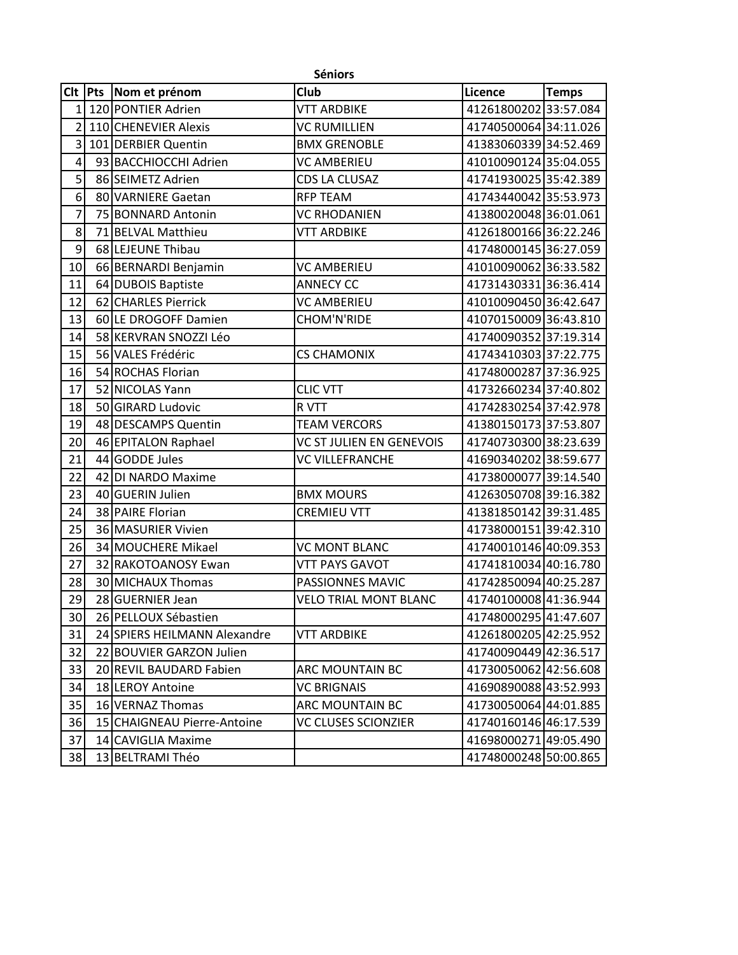|                 | <b>Séniors</b> |                              |                              |                       |              |  |
|-----------------|----------------|------------------------------|------------------------------|-----------------------|--------------|--|
| <b>Clt</b>      | <b>Pts</b>     | Nom et prénom                | Club                         | Licence               | <b>Temps</b> |  |
| 1               |                | 120 PONTIER Adrien           | <b>VTT ARDBIKE</b>           | 4126180020233:57.084  |              |  |
| $\overline{2}$  |                | 110 CHENEVIER Alexis         | <b>VC RUMILLIEN</b>          | 41740500064 34:11.026 |              |  |
| $\overline{3}$  |                | 101 DERBIER Quentin          | <b>BMX GRENOBLE</b>          | 41383060339 34:52.469 |              |  |
| $\vert 4 \vert$ |                | 93 BACCHIOCCHI Adrien        | <b>VC AMBERIEU</b>           | 41010090124 35:04.055 |              |  |
| $\overline{5}$  |                | 86 SEIMETZ Adrien            | CDS LA CLUSAZ                | 41741930025 35:42.389 |              |  |
| 6               |                | 80 VARNIERE Gaetan           | <b>RFP TEAM</b>              | 41743440042 35:53.973 |              |  |
| $\overline{7}$  |                | 75 BONNARD Antonin           | <b>VC RHODANIEN</b>          | 41380020048 36:01.061 |              |  |
| 8               |                | 71 BELVAL Matthieu           | <b>VTT ARDBIKE</b>           | 41261800166 36:22.246 |              |  |
| 9               |                | 68 LEJEUNE Thibau            |                              | 41748000145 36:27.059 |              |  |
| 10              |                | 66 BERNARDI Benjamin         | <b>VC AMBERIEU</b>           | 41010090062 36:33.582 |              |  |
| 11              |                | 64 DUBOIS Baptiste           | <b>ANNECY CC</b>             | 41731430331 36:36.414 |              |  |
| 12              |                | 62 CHARLES Pierrick          | <b>VC AMBERIEU</b>           | 41010090450 36:42.647 |              |  |
| 13              |                | 60 LE DROGOFF Damien         | <b>CHOM'N'RIDE</b>           | 41070150009 36:43.810 |              |  |
| 14              |                | 58 KERVRAN SNOZZI Léo        |                              | 41740090352 37:19.314 |              |  |
| 15              |                | 56 VALES Frédéric            | <b>CS CHAMONIX</b>           | 41743410303 37:22.775 |              |  |
| 16              |                | 54 ROCHAS Florian            |                              | 41748000287 37:36.925 |              |  |
| 17              |                | 52 NICOLAS Yann              | <b>CLIC VTT</b>              | 41732660234 37:40.802 |              |  |
| 18              |                | 50 GIRARD Ludovic            | R VTT                        | 41742830254 37:42.978 |              |  |
| 19              |                | 48 DESCAMPS Quentin          | <b>TEAM VERCORS</b>          | 41380150173 37:53.807 |              |  |
| 20              |                | 46 EPITALON Raphael          | VC ST JULIEN EN GENEVOIS     | 41740730300 38:23.639 |              |  |
| 21              |                | 44 GODDE Jules               | <b>VC VILLEFRANCHE</b>       | 41690340202 38:59.677 |              |  |
| 22              |                | 42 DI NARDO Maxime           |                              | 41738000077 39:14.540 |              |  |
| 23              |                | 40 GUERIN Julien             | <b>BMX MOURS</b>             | 41263050708 39:16.382 |              |  |
| 24              |                | 38 PAIRE Florian             | <b>CREMIEU VTT</b>           | 41381850142 39:31.485 |              |  |
| 25              |                | 36 MASURIER Vivien           |                              | 41738000151 39:42.310 |              |  |
| 26              |                | 34 MOUCHERE Mikael           | <b>VC MONT BLANC</b>         | 41740010146 40:09.353 |              |  |
| 27              |                | 32 RAKOTOANOSY Ewan          | <b>VTT PAYS GAVOT</b>        | 41741810034 40:16.780 |              |  |
| 28              |                | 30 MICHAUX Thomas            | PASSIONNES MAVIC             | 41742850094 40:25.287 |              |  |
| 29              |                | 28 GUERNIER Jean             | <b>VELO TRIAL MONT BLANC</b> | 41740100008 41:36.944 |              |  |
| 30 <sup>°</sup> |                | 26 PELLOUX Sébastien         |                              | 41748000295 41:47.607 |              |  |
| 31              |                | 24 SPIERS HEILMANN Alexandre | VTT ARDBIKE                  | 41261800205 42:25.952 |              |  |
| 32              |                | 22 BOUVIER GARZON Julien     |                              | 41740090449 42:36.517 |              |  |
| 33              |                | 20 REVIL BAUDARD Fabien      | ARC MOUNTAIN BC              | 41730050062 42:56.608 |              |  |
| 34              |                | 18 LEROY Antoine             | <b>VC BRIGNAIS</b>           | 41690890088 43:52.993 |              |  |
| 35              |                | 16 VERNAZ Thomas             | ARC MOUNTAIN BC              | 41730050064 44:01.885 |              |  |
| 36              |                | 15 CHAIGNEAU Pierre-Antoine  | VC CLUSES SCIONZIER          | 41740160146 46:17.539 |              |  |
| 37              |                | 14 CAVIGLIA Maxime           |                              | 41698000271 49:05.490 |              |  |
| 38              |                | 13 BELTRAMI Théo             |                              | 41748000248 50:00.865 |              |  |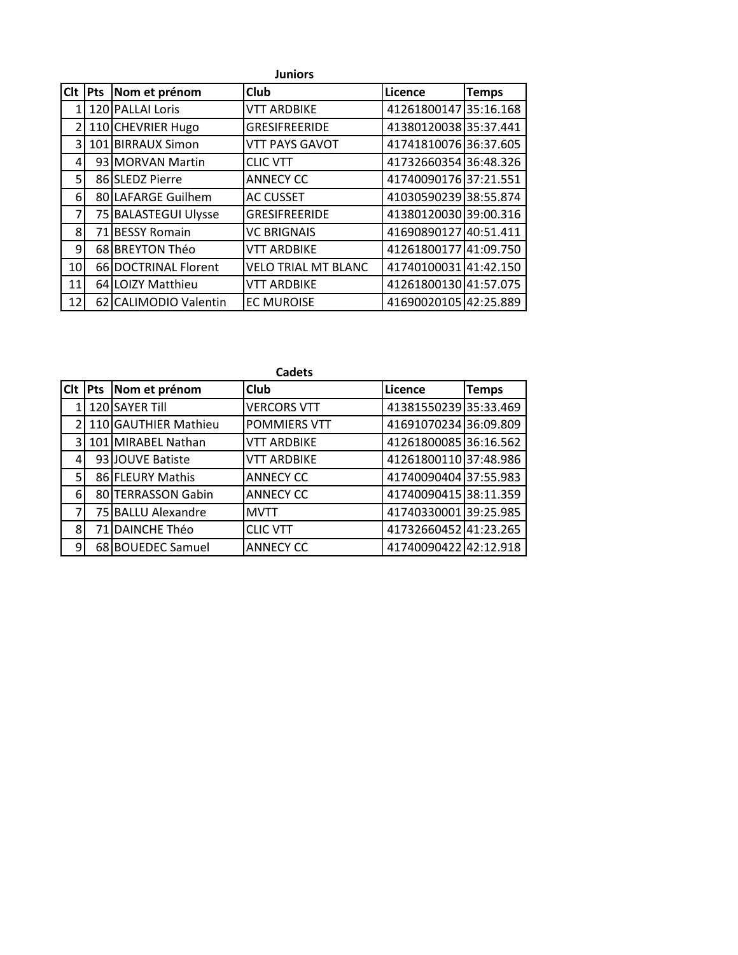|                 | <b>Juniors</b> |                       |                            |                       |              |  |
|-----------------|----------------|-----------------------|----------------------------|-----------------------|--------------|--|
| <b>Clt</b>      | Pts            | Nom et prénom         | Club                       | Licence               | <b>Temps</b> |  |
|                 |                | 120 PALLAI Loris      | <b>VTT ARDBIKE</b>         | 41261800147 35:16.168 |              |  |
| $\mathcal{P}$   |                | 110 CHEVRIER Hugo     | <b>GRESIFREERIDE</b>       | 41380120038 35:37.441 |              |  |
| $\overline{3}$  |                | 101 BIRRAUX Simon     | <b>VTT PAYS GAVOT</b>      | 41741810076 36:37.605 |              |  |
| 4               |                | 93 MORVAN Martin      | <b>CLIC VTT</b>            | 41732660354 36:48.326 |              |  |
| 5 <sup>1</sup>  |                | 86 SLEDZ Pierre       | <b>ANNECY CC</b>           | 41740090176 37:21.551 |              |  |
| 6               |                | 80 LAFARGE Guilhem    | <b>AC CUSSET</b>           | 41030590239 38:55.874 |              |  |
|                 |                | 75 BALASTEGUI Ulysse  | <b>GRESIFREERIDE</b>       | 41380120030 39:00.316 |              |  |
| 8               |                | 71 BESSY Romain       | <b>VC BRIGNAIS</b>         | 41690890127           | 40:51.411    |  |
| 9               |                | 68 BREYTON Théo       | <b>VTT ARDBIKE</b>         | 41261800177 41:09.750 |              |  |
| 10 <sup>1</sup> |                | 66 DOCTRINAL Florent  | <b>VELO TRIAL MT BLANC</b> | 41740100031 41:42.150 |              |  |
| 11              |                | 64 LOIZY Matthieu     | <b>VTT ARDBIKE</b>         | 41261800130 41:57.075 |              |  |
| 12              |                | 62 CALIMODIO Valentin | <b>EC MUROISE</b>          | 41690020105 42:25.889 |              |  |

|                | <b>Cadets</b> |                      |                    |                       |              |  |
|----------------|---------------|----------------------|--------------------|-----------------------|--------------|--|
| <b>Clt</b>     |               | Pts Nom et prénom    | <b>Club</b>        | Licence               | <b>Temps</b> |  |
|                |               | 120 SAYER Till       | <b>VERCORS VTT</b> | 41381550239 35:33.469 |              |  |
|                |               | 110 GAUTHIER Mathieu | POMMIERS VTT       | 41691070234 36:09.809 |              |  |
| $\overline{3}$ |               | 101 MIRABEL Nathan   | <b>VTT ARDBIKE</b> | 41261800085 36:16.562 |              |  |
| 4              |               | 93 JOUVE Batiste     | VTT ARDBIKE        | 41261800110 37:48.986 |              |  |
| 5              |               | 86 FLEURY Mathis     | <b>ANNECY CC</b>   | 41740090404 37:55.983 |              |  |
| $6 \mid$       |               | 80 TERRASSON Gabin   | <b>ANNECY CC</b>   | 41740090415 38:11.359 |              |  |
|                |               | 75 BALLU Alexandre   | <b>MVTT</b>        | 41740330001 39:25.985 |              |  |
| 8              |               | 71 DAINCHE Théo      | <b>CLIC VTT</b>    | 41732660452 41:23.265 |              |  |
| 9              |               | 68 BOUEDEC Samuel    | <b>ANNECY CC</b>   | 41740090422 42:12.918 |              |  |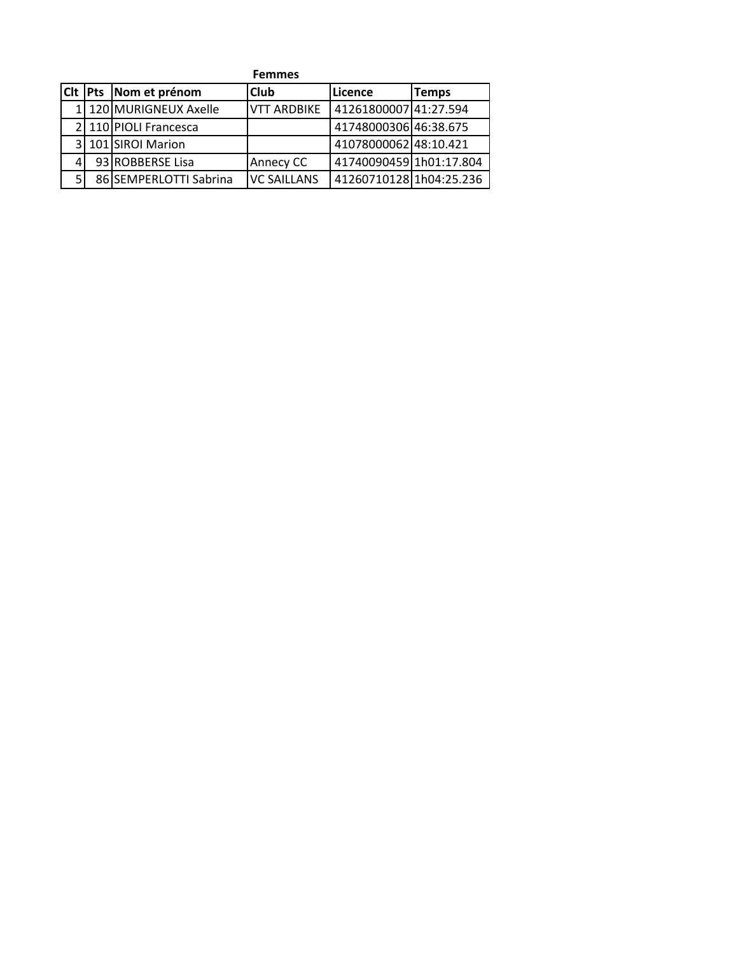|       | <b>Femmes</b> |                        |                    |                         |              |  |
|-------|---------------|------------------------|--------------------|-------------------------|--------------|--|
| Cit I | <b>Pts</b>    | Nom et prénom          | <b>Club</b>        | Licence                 | <b>Temps</b> |  |
|       |               | 1 120 MURIGNEUX Axelle | <b>VTT ARDBIKE</b> | 41261800007 41:27.594   |              |  |
|       |               | 2 110 PIOLI Francesca  |                    | 41748000306 46:38.675   |              |  |
|       |               | 3 101 SIROI Marion     |                    | 41078000062 48:10.421   |              |  |
|       |               | 93 ROBBERSE Lisa       | Annecy CC          | 41740090459 1h01:17.804 |              |  |
|       |               | 86 SEMPERLOTTI Sabrina | <b>VC SAILLANS</b> | 41260710128 1h04:25.236 |              |  |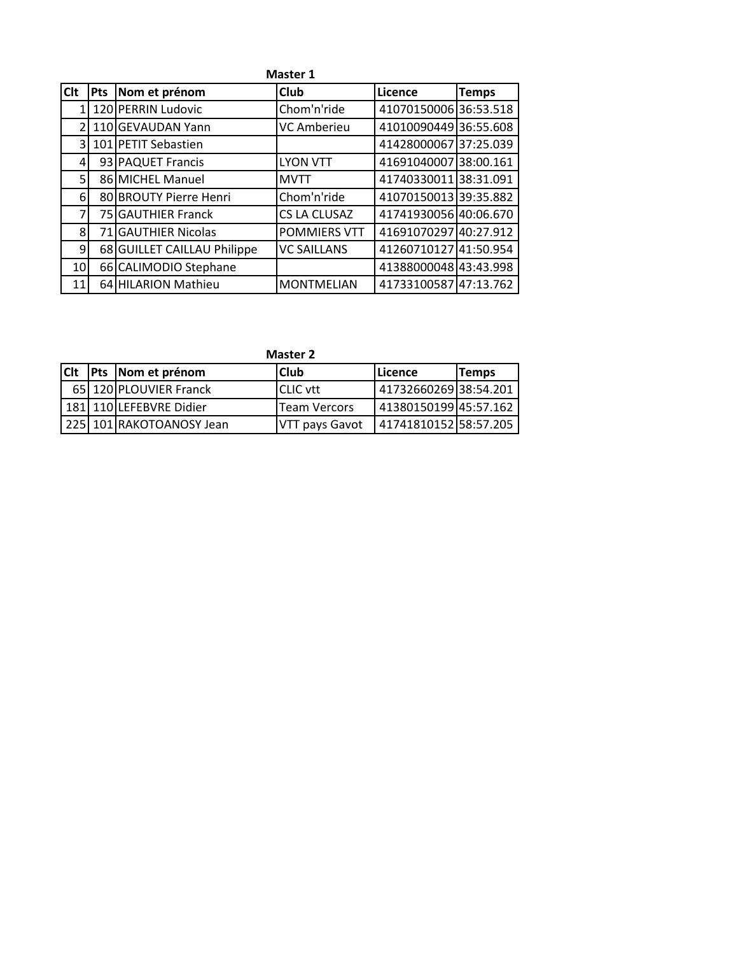|            | <b>Master 1</b> |                             |                     |                       |              |  |  |
|------------|-----------------|-----------------------------|---------------------|-----------------------|--------------|--|--|
| <b>Clt</b> | <b>Pts</b>      | Nom et prénom               | <b>Club</b>         | Licence               | <b>Temps</b> |  |  |
|            |                 | 120 PERRIN Ludovic          | Chom'n'ride         | 41070150006 36:53.518 |              |  |  |
|            |                 | 110 GEVAUDAN Yann           | <b>VC Amberieu</b>  | 41010090449 36:55.608 |              |  |  |
| 3          |                 | 101 PETIT Sebastien         |                     | 41428000067 37:25.039 |              |  |  |
| 4          |                 | 93 PAQUET Francis           | <b>LYON VTT</b>     | 41691040007 38:00.161 |              |  |  |
| 5          |                 | 86 MICHEL Manuel            | <b>MVTT</b>         | 41740330011 38:31.091 |              |  |  |
| 6          |                 | 80 BROUTY Pierre Henri      | Chom'n'ride         | 41070150013 39:35.882 |              |  |  |
| 7          |                 | 75 GAUTHIER Franck          | CS LA CLUSAZ        | 41741930056 40:06.670 |              |  |  |
| 8          | <b>71</b>       | <b>GAUTHIER Nicolas</b>     | <b>POMMIERS VTT</b> | 41691070297 40:27.912 |              |  |  |
| 9          |                 | 68 GUILLET CAILLAU Philippe | <b>VC SAILLANS</b>  | 41260710127 41:50.954 |              |  |  |
| 10         |                 | 66 CALIMODIO Stephane       |                     | 41388000048 43:43.998 |              |  |  |
| 11         |                 | 64 HILARION Mathieu         | <b>MONTMELIAN</b>   | 41733100587 47:13.762 |              |  |  |

| <b>Master 2</b> |  |  |  |
|-----------------|--|--|--|
|-----------------|--|--|--|

|  |  | C <sub>I</sub> Pts Nom et prénom | <b>Club</b>     | l Licence             | Temps |
|--|--|----------------------------------|-----------------|-----------------------|-------|
|  |  | 65 120 PLOUVIER Franck           | <b>CLIC vtt</b> | 41732660269 38:54.201 |       |
|  |  | 181 110 LEFEBVRE Didier          | Team Vercors    | 41380150199 45:57.162 |       |
|  |  | 225 101 RAKOTOANOSY Jean         | VTT pays Gavot  | 41741810152 58:57.205 |       |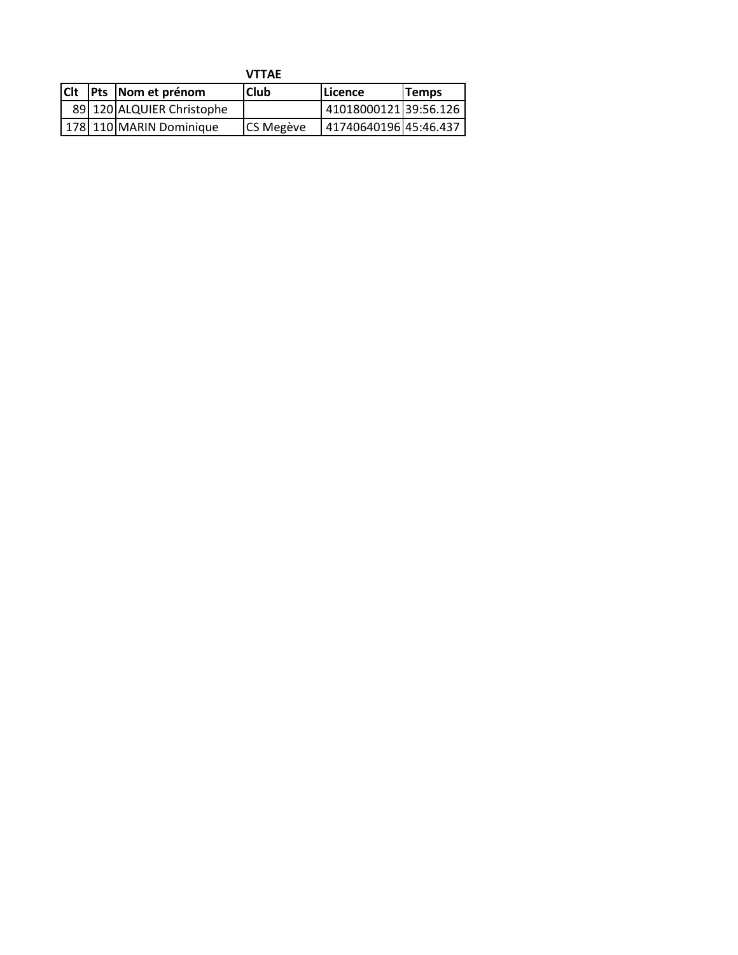|            |                           | <b>VTTAE</b> |                       |              |
|------------|---------------------------|--------------|-----------------------|--------------|
| <b>CIt</b> | <b>Pts</b> Nom et prénom  | lClub        | <b>ILicence</b>       | <b>Temps</b> |
|            | 89 120 ALQUIER Christophe |              | 4101800012139:56.126  |              |
|            | 178 110 MARIN Dominique   | CS Megève    | 41740640196 45:46.437 |              |